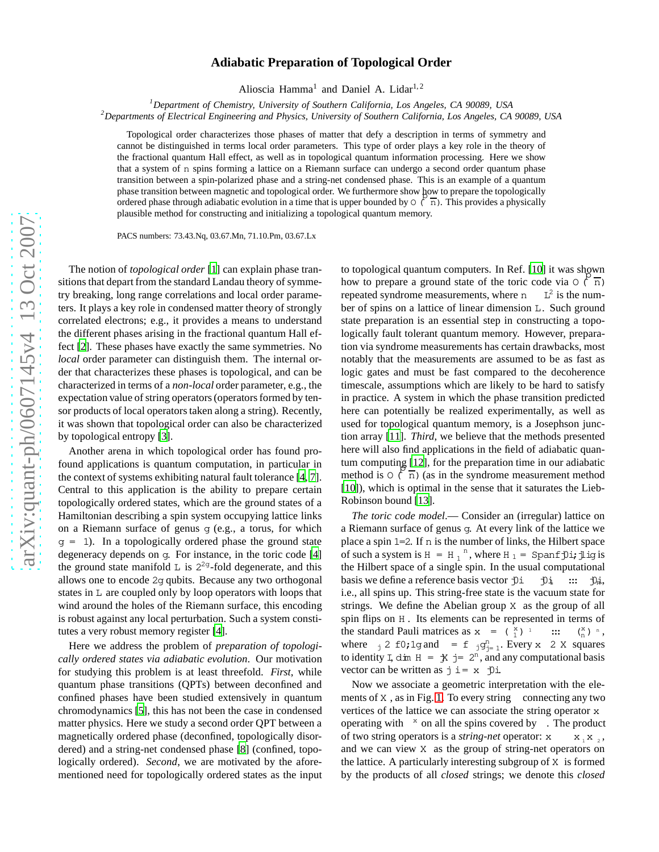## arXiv:quant-ph/0607145v4 13 Oct 2007 [arXiv:quant-ph/0607145v4 13 Oct 2007](http://arxiv.org/abs/quant-ph/0607145v4)

## **Adiabatic Preparation of Topological Order**

Alioscia Hamma<sup>1</sup> and Daniel A. Lidar<sup>1,2</sup>

*<sup>1</sup>Department of Chemistry, University of Southern California, Los Angeles, CA 90089, USA*

*<sup>2</sup>Departments of Electrical Engineering and Physics, University of Southern California, Los Angeles, CA 90089, USA*

Topological order characterizes those phases of matter that defy a description in terms of symmetry and cannot be distinguished in terms local order parameters. This type of order plays a key role in the theory of the fractional quantum Hall effect, as well as in topological quantum information processing. Here we show that a system of n spins forming a lattice on a Riemann surface can undergo a second order quantum phase transition between a spin-polarized phase and a string-net condensed phase. This is an example of a quantum phase transition between magnetic and topological order. We furthermore show how to prepare the topologically phase transition between magnetic and topological order. We ruthler hole show now to prepare the topologically<br>ordered phase through adiabatic evolution in a time that is upper bounded by  $O(\sqrt{n})$ . This provides a physical plausible method for constructing and initializing a topological quantum memory.

PACS numbers: 73.43.Nq, 03.67.Mn, 71.10.Pm, 03.67.Lx

The notion of *topological order* [\[1](#page-3-0)] can explain phase transitions that depart from the standard Landau theory of symmetry breaking, long range correlations and local order parameters. It plays a key role in condensed matter theory of strongly correlated electrons; e.g., it provides a means to understand the different phases arising in the fractional quantum Hall effect [\[2\]](#page-3-1). These phases have exactly the same symmetries. No *local* order parameter can distinguish them. The internal order that characterizes these phases is topological, and can be characterized in terms of a *non-local* order parameter, e.g., the expectation value of string operators (operators formed by tensor products of local operators taken along a string). Recently, it was shown that topological order can also be characterize d by topological entropy [\[3\]](#page-3-2).

Another arena in which topological order has found profound applications is quantum computation, in particular in the context of systems exhibiting natural fault tolerance [\[4,](#page-3-3) [7](#page-3-4)]. Central to this application is the ability to prepare certai n topologically ordered states, which are the ground states of a Hamiltonian describing a spin system occupying lattice links on a Riemann surface of genus g (e.g., a torus, for which  $q = 1$ ). In a topologically ordered phase the ground state degeneracy depends on g. For instance, in the toric code [\[4\]](#page-3-3) the ground state manifold  $\bf{L}$  is  $2^{2g}$ -fold degenerate, and this allows one to encode 2 g qubits. Because any two orthogonal states in L are coupled only by loop operators with loops that wind around the holes of the Riemann surface, this encoding is robust against any local perturbation. Such a system constitutes a very robust memory register [\[4\]](#page-3-3).

Here we address the problem of *preparation of topologically ordered states via adiabatic evolution*. Our motivation for studying this problem is at least threefold. *First*, while quantum phase transitions (QPTs) between deconfined and confined phases have been studied extensively in quantum chromodynamics [\[5\]](#page-3-5), this has not been the case in condensed matter physics. Here we study a second order QPT between a magnetically ordered phase (deconfined, topologically disordered) and a string-net condensed phase [\[8](#page-3-6)] (confined, topologically ordered). *Second*, we are motivated by the aforementioned need for topologically ordered states as the input

to topological quantum computers. In Ref. [\[10](#page-3-7)] it was shown to to prepare a ground state of the toric code via  $O(\frac{n}{n})$ repeated syndrome measurements, where n  $L^2$  is the number of spins on a lattice of linear dimension L. Such ground state preparation is an essential step in constructing a topologically fault tolerant quantum memory. However, preparation via syndrome measurements has certain drawbacks, most notably that the measurements are assumed to be as fast as logic gates and must be fast compared to the decoherence timescale, assumptions which are likely to be hard to satisfy in practice. A system in which the phase transition predicte d here can potentially be realized experimentally, as well as used for topological quantum memory, is a Josephson junction array [\[11\]](#page-3-8). *Third*, we believe that the methods presented here will also find applications in the field of adiabatic quan tum computing [\[12\]](#page-3-9), for the preparation time in our adiabati c the method is  $O(\frac{n}{n})$  (as in the syndrome measurement method [\[10](#page-3-7)]), which is optimal in the sense that it saturates the Lieb-Robinson bound [\[13\]](#page-3-10).

*The toric code model*.— Consider an (irregular) lattice on a Riemann surface of genus g. At every link of the lattice we place a spin 1 = 2. If n is the number of links, the Hilbert space of such a system is  $H = H_1$ <sup>n</sup>, where  $H_1 =$  Spanf j i; j i ig is the Hilbert space of a single spin. In the usual computationa l basis we define a reference basis vector  $\mathfrak{D}$ i  $\mathfrak{D}$  $i$   $::$   $\mathcal{D}_{n}$ , i.e., all spins up. This string-free state is the vacuum state for strings. We define the Abelian group X as the group of all spin flips on H . Its elements can be represented in terms of the standard Pauli matrices as  $x = (\frac{x}{1})$ <sup>1</sup> :::  $\binom{x}{n}$   $\,$   $\,$   $\,$   $\,$  , where  $j \geq 10$ ; 1 g and  $= f j g_{j=1}^n$ . Every x 2 X squares to identity I, dim  $H = \frac{1}{2}$  j=  $2^{n}$ , and any computational basis vector can be written as  $j \neq x$   $\exists$ 0

Now we associate a geometric interpretation with the ele-ments of X, as in Fig. [1.](#page-1-0) To every string connecting any two vertices of the lattice we can associate the string operator x operating with <sup>x</sup> on all the spins covered by . The product of two string operators is a *string-net* operator: x  $X_1 X_2$ and we can view X as the group of string-net operators on the lattice. A particularly interesting subgroup of X is formed by the products of all *closed* strings; we denote this *closed*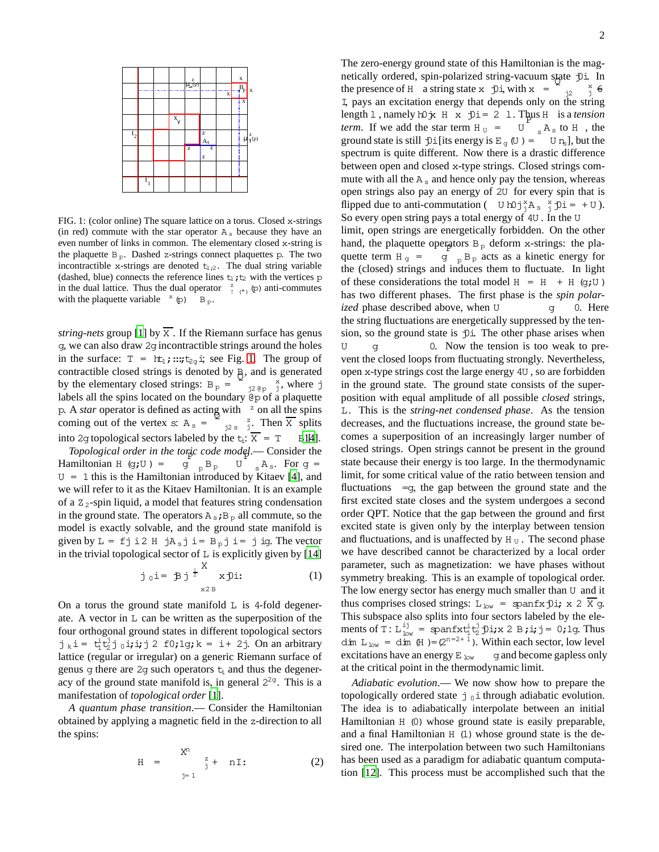

<span id="page-1-0"></span>FIG. 1: (color online) The square lattice on a torus. Closed x-strings (in red) commute with the star operator  $A_s$  because they have an even number of links in common. The elementary closed x-string is the plaquette  $B_p$ . Dashed z-strings connect plaquettes p. The two incontractible x-strings are denoted  $t_{1,2}$ . The dual string variable (dashed, blue) connects the reference lines  $t_1$ ;  $t_2$  with the vertices p in the dual lattice. Thus the dual operator  $\frac{z}{(n)}$  ( $\infty$ ) anti-commutes with the plaquette variable  $x$  (p) B p.

*string-nets* group [\[1](#page-3-0)] by  $\overline{X}$ . If the Riemann surface has genus g, we can also draw 2gincontractible strings around the holes in the surface:  $T = ht_1; ...; t_{2g}$  i; see Fig. [1.](#page-1-0) The group of contractible closed strings is denoted by  $\frac{B}{Q}$ , and is generated by the elementary closed strings:  $B_p =$  $j2 \& p \quad j$ , where j labels all the spins located on the boundary @p of a plaquette p. A *star* operator is defined as acting with  $\frac{z}{2}$  on all the spins coming out of the vertex s:  $A_s = \sum_{j2s}^{z}$ . Then  $\overline{X}$  splits into 2g topological sectors labeled by the  $t_i$ :  $\overline{X} = T$  B1[4].

*Topological order in the toric code model*.— Consider the Hamiltonian H (g;U) =  $g_{p}^{B}B_{p}$  U  $_{s}A_{s}$ . For  $g =$  $U = 1$  this is the Hamiltonian introduced by Kitaev [\[4\]](#page-3-3), and we will refer to it as the Kitaev Hamiltonian. It is an example of a  $Z_2$ -spin liquid, a model that features string condensation in the ground state. The operators  $A_s$ ;  $B_p$  all commute, so the model is exactly solvable, and the ground state manifold is given by  $L = f j i 2 H j A_s j i = B_0 j i = j ig$ . The vector in the trivial topological sector of  $\mathbb L$  is explicitly given by [\[14\]](#page-3-11) X

$$
\dot{\mathbf{j}}_0 \mathbf{i} = \mathbf{B} \mathbf{j}^{\frac{1}{2}} \mathbf{x} \mathbf{D} \mathbf{i}:\n\tag{1}
$$

On a torus the ground state manifold  $\overline{L}$  is 4-fold degenerate. A vector in L can be written as the superposition of the four orthogonal ground states in different topological sectors  $j_k$  i =  $t_1^j t_2^j j_0$  i; i; j 2 f0; 1g; k = i + 2j. On an arbitrary lattice (regular or irregular) on a generic Riemann surface of genus g there are 2g such operators  $t_i$  and thus the degeneracy of the ground state manifold is, in general  $2^{2g}$ . This is a manifestation of *topological order* [\[1](#page-3-0)].

*A quantum phase transition*.— Consider the Hamiltonian obtained by applying a magnetic field in the z-direction to all the spins:

$$
H = \sum_{j=1}^{X^n} f_j + nI:
$$
 (2)

The zero-energy ground state of this Hamiltonian is the magnetically ordered, spin-polarized string-vacuum state f)i. In the presence of H a string state  $x \in \mathcal{D}$  i, with  $x =$ j2 x <sup>j</sup> 6= I, pays an excitation energy that depends only on the string length 1, namely h0 jx H x j0i = 2 1. Thus H is a *tension term*. If we add the star term  $H_U = U_{s} A_s$  to  $H$ , the ground state is still  $\exists$ i[its energy is E<sub>q</sub>(U) = U n<sub>s</sub>], but the spectrum is quite different. Now there is a drastic difference between open and closed x-type strings. Closed strings commute with all the  $A_s$  and hence only pay the tension, whereas open strings also pay an energy of 2U for every spin that is flipped due to anti-commutation (  $U h0 j_{j}^{x} A_{s} j_{j}^{x} = +U$ ). So every open string pays a total energy of 4U . In the U limit, open strings are energetically forbidden. On the other hand, the plaquette operators  $B_p$  deform x-strings: the plaquette term  $H_g$  = <sub>p</sub> B<sub>p</sub> acts as a kinetic energy for the (closed) strings and induces them to fluctuate. In light of these considerations the total model  $H = H + H$  (g;U) has two different phases. The first phase is the *spin polarized* phase described above, when U g 0. Here the string fluctuations are energetically suppressed by the tension, so the ground state is  $\psi$ i. The other phase arises when  $U$  g  $U$  0. Now the tension is too weak to prevent the closed loops from fluctuating strongly. Nevertheless, open x-type strings cost the large energy 4U , so are forbidden in the ground state. The ground state consists of the superposition with equal amplitude of all possible *closed* strings, L. This is the *string-net condensed phase*. As the tension decreases, and the fluctuations increase, the ground state becomes a superposition of an increasingly larger number of closed strings. Open strings cannot be present in the ground state because their energy is too large. In the thermodynamic limit, for some critical value of the ratio between tension and fluctuations  $=q$ , the gap between the ground state and the first excited state closes and the system undergoes a second order QPT. Notice that the gap between the ground and first excited state is given only by the interplay between tension and fluctuations, and is unaffected by  $H_U$ . The second phase we have described cannot be characterized by a local order parameter, such as magnetization: we have phases without symmetry breaking. This is an example of topological order. The low energy sector has energy much smaller than  $U$  and it thus comprises closed strings:  $L_{low}$  = spanfx $j$ 0i; x 2  $\overline{X}$  g. This subspace also splits into four sectors labeled by the elements of T:  $L_{low}^{ij} =$  spanfx $t_1^{i} t_2^{j}$  f) i; x 2 B; i; j = 0; 1g. Thus dim  $L_{low} = dim(H) = (2^{n-2+1})$ . Within each sector, low level excitations have an energy  $E_{low}$  gand become gapless only at the critical point in the thermodynamic limit.

*Adiabatic evolution*.— We now show how to prepare the topologically ordered state  $\dot{\tau}$  of through adiabatic evolution. The idea is to adiabatically interpolate between an initial Hamiltonian H (0) whose ground state is easily preparable, and a final Hamiltonian  $H(1)$  whose ground state is the desired one. The interpolation between two such Hamiltonians has been used as a paradigm for adiabatic quantum computation [\[12](#page-3-9)]. This process must be accomplished such that the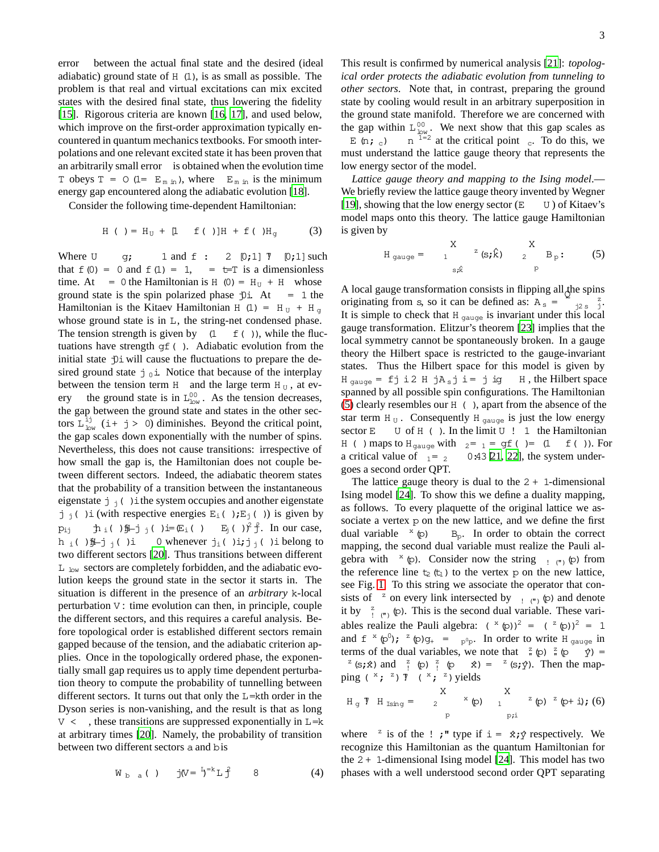error between the actual final state and the desired (ideal adiabatic) ground state of H (1), is as small as possible. The problem is that real and virtual excitations can mix excited states with the desired final state, thus lowering the fidelity [\[15](#page-3-12)]. Rigorous criteria are known [\[16,](#page-3-13) [17\]](#page-3-14), and used below, which improve on the first-order approximation typically encountered in quantum mechanics textbooks. For smooth interpolations and one relevant excited state it has been proven that an arbitrarily small error is obtained when the evolution time T obeys  $T = 0$  (1=  $E_{m in}$ ), where  $E_{m in}$  is the minimum energy gap encountered along the adiabatic evolution [\[18](#page-3-15)].

Consider the following time-dependent Hamiltonian:

$$
H()
$$
 =  $H_U$  + [1 f()] $H$  + f() $H_g$  (3)

Where U g; 1 and f : 2  $[0;1]$  7  $[0;1]$  such that  $f(0) = 0$  and  $f(1) = 1$ ,  $= t=T$  is a dimensionless time. At = 0 the Hamiltonian is H (0) =  $H_U$  + H whose ground state is the spin polarized phase  $\mathcal{D}$ i. At = 1 the Hamiltonian is the Kitaev Hamiltonian H (1) = H  $_U$  + H  $_{\alpha}$ whose ground state is in L, the string-net condensed phase. The tension strength is given by  $(1 \text{ f}())$ , while the fluctuations have strength gf( ). Adiabatic evolution from the initial state  $\mathcal{D}$  i will cause the fluctuations to prepare the desired ground state  $j_0$  i. Notice that because of the interplay between the tension term  $H$  and the large term  $H_U$ , at every the ground state is in  $L_{low}^{00}$ . As the tension decreases, the gap between the ground state and states in the other sectors  $L_{low}^{i,j}$  (i+ j > 0) diminishes. Beyond the critical point, the gap scales down exponentially with the number of spins. Nevertheless, this does not cause transitions: irrespective of how small the gap is, the Hamiltonian does not couple between different sectors. Indeed, the adiabatic theorem states that the probability of a transition between the instantaneous eigenstate  $j_i$  ( ) ithe system occupies and another eigenstate j j( )i (with respective energies  $E_i$ ( ); $E_j$ ( )) is given by  $p_{ij}$   $\hbar_i$  ( ) $j\hbar_j$  ( ) i=  $(E_i$  ( )  $E_j$  ( ) $\gamma^2 f$ . In our case, h i( ) $\frac{1}{2}$  j i( )i 0 whenever j<sub>i</sub>( )i;j j i( )i belong to two different sectors [\[20](#page-3-16)]. Thus transitions between different  $L$  low sectors are completely forbidden, and the adiabatic evolution keeps the ground state in the sector it starts in. The situation is different in the presence of an *arbitrary* k-local perturbation V : time evolution can then, in principle, couple the different sectors, and this requires a careful analysis. Before topological order is established different sectors remain gapped because of the tension, and the adiabatic criterion applies. Once in the topologically ordered phase, the exponentially small gap requires us to apply time dependent perturbation theory to compute the probability of tunnelling between different sectors. It turns out that only the L=kth order in the Dyson series is non-vanishing, and the result is that as long  $V \leq \theta$ , these transitions are suppressed exponentially in L=k at arbitrary times [\[20\]](#page-3-16). Namely, the probability of transition between two different sectors a and bis

$$
W_{b a}()
$$
 j $(V = {}^{L}_{b} = {}^{R}_{L} L f$  8 (4)

This result is confirmed by numerical analysis [\[21\]](#page-3-17): *topological order protects the adiabatic evolution from tunneling to other sectors*. Note that, in contrast, preparing the ground state by cooling would result in an arbitrary superposition in the ground state manifold. Therefore we are concerned with the gap within  $L_{low}^{00}$ . We next show that this gap scales as E (n;  $_c$ )  $1=2$  at the critical point c. To do this, we must understand the lattice gauge theory that represents the low energy sector of the model.

*Lattice gauge theory and mapping to the Ising model*.— We briefly review the lattice gauge theory invented by Wegner [\[19](#page-3-18)], showing that the low energy sector  $(E \cup U)$  of Kitaev's model maps onto this theory. The lattice gauge Hamiltonian is given by

<span id="page-2-0"></span>
$$
H_{gauge} = \n\begin{array}{ccc}\nX & & X \\
1 & ^{z}(s; \hat{k}) & 2 & B_{p} : (5) \\
\hline\n\end{array}
$$

A local gauge transformation consists in flipping all the spins originating from s, so it can be defined as:  $A_s = \begin{bmatrix} 2 & 2 \\ 1/2 & 5 \end{bmatrix}$ . It is simple to check that  $H_{\text{gauge}}$  is invariant under this local gauge transformation. Elitzur's theorem [\[23\]](#page-3-19) implies that the local symmetry cannot be spontaneously broken. In a gauge theory the Hilbert space is restricted to the gauge-invariant states. Thus the Hilbert space for this model is given by  $H_{\text{aauge}} = f j i 2 H j A_s j i = j ig H$ , the Hilbert space spanned by all possible spin configurations. The Hamiltonian [\(5\)](#page-2-0) clearly resembles our H ( ), apart from the absence of the star term H<sub>U</sub>. Consequently H<sub>qauqe</sub> is just the low energy sector  $E$  U of H ( ). In the limit U ! 1 the Hamiltonian H ( ) maps to H<sub>gauge</sub> with  $_{2}$  =  $_{1}$  = gf ( ) = (1 f( )). For a critical value of  $_{1}$  =  $_{2}$  0:43 [\[21,](#page-3-17) [22\]](#page-3-20), the system undergoes a second order QPT.

The lattice gauge theory is dual to the  $2 + 1$ -dimensional Ising model [\[24\]](#page-3-21). To show this we define a duality mapping, as follows. To every plaquette of the original lattice we associate a vertex p on the new lattice, and we define the first dual variable  $x(p)$  B<sub>p</sub>. In order to obtain the correct mapping, the second dual variable must realize the Pauli algebra with  $x(p)$ . Consider now the string  $\cdot$  (")(p) from the reference line  $t_2(t_1)$  to the vertex p on the new lattice, see Fig. [1.](#page-1-0) To this string we associate the operator that consists of <sup>z</sup> on every link intersected by  $\cdot$  ( $\cdot$ ) (p) and denote it by  $\frac{z}{\cdot}$  ( $\cdot$ ). This is the second dual variable. These variables realize the Pauli algebra:  $({}^{x}(\rho))^{2} = ({}^{z}(\rho))^{2} = 1$ and  $f^{(x)}(p^0)$ ;  $\phi^{(x)}(p)g_+ = \int_{p^0p^x} p^0 p^0$ . In order to write H gauge in terms of the dual variables, we note that  $\frac{z}{n}$  (p)  $\frac{z}{n}$  (p)  $\frac{z}{n}$  (p) =  $z$  (s;  $\hat{x}$ ) and  $\frac{z}{i}$  (p)  $\frac{z}{i}$  (p)  $\hat{x}$ ) =  $z$  (s;  $\hat{y}$ ). Then the mapping  $(\alpha^*; \alpha^*) \mathcal{I}$   $(\alpha^*; \alpha^*)$  yields

$$
H_g
$$
 T  $H_{Ising}$  =  $\begin{array}{cc} X & X \\ 2 & {}^{x}(\rho) & 1 \end{array}$   $\begin{array}{cc} Z & 2 \\ 2 & {}^{y}(\rho) & 2 \\ 2 & {}^{y}(\rho+1) & (6) \end{array}$ 

where <sup>z</sup> is of the ! ;" type if  $i = \hat{x}$ ;  $\hat{y}$  respectively. We recognize this Hamiltonian as the quantum Hamiltonian for the  $2 + 1$ -dimensional Ising model [\[24](#page-3-21)]. This model has two phases with a well understood second order QPT separating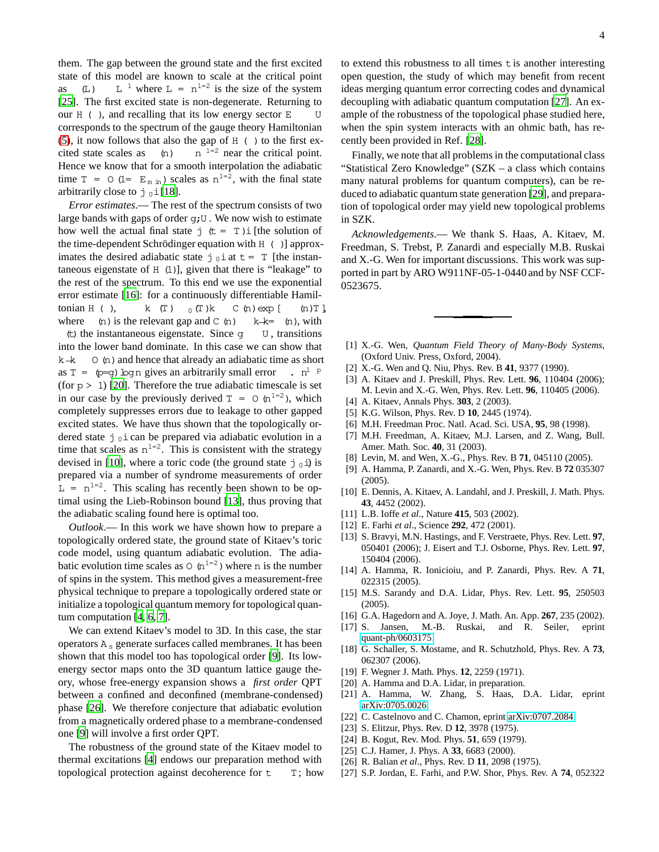them. The gap between the ground state and the first excited state of this model are known to scale at the critical point as  $(L)$ <sup>1</sup> where  $L = n^{1=2}$  is the size of the system [\[25](#page-3-22)]. The first excited state is non-degenerate. Returning to our  $H$  ( ), and recalling that its low energy sector  $E$ corresponds to the spectrum of the gauge theory Hamiltonian [\(5\)](#page-2-0), it now follows that also the gap of  $H$  ( ) to the first ex $cited state scales as$  (n)  $n^{-1=2}$  near the critical point. Hence we know that for a smooth interpolation the adiabatic time  $T = O (1 = E_{m \text{ in}})$  scales as  $n^{1=2}$ , with the final state arbitrarily close to  $j_0$  i [\[18](#page-3-15)].

*Error estimates*.— The rest of the spectrum consists of two large bands with gaps of order g;U . We now wish to estimate how well the actual final state  $j \left( t = T \right)$  i [the solution of the time-dependent Schrödinger equation with  $H$  ( ) approximates the desired adiabatic state  $j_0$  i at  $t = T$  [the instantaneous eigenstate of H (1)], given that there is "leakage" to the rest of the spectrum. To this end we use the exponential error estimate [\[16](#page-3-13)]: for a continuously differentiable Hamiltonian H ( ),  $k$  (T )  $_0$  (T )k C (n) exp [ (n) T ], where  $(n)$  is the relevant gap and C  $(n)$  k  $-k=$   $(n)$ , with (t) the instantaneous eigenstate. Since q  $\cup$ , transitions into the lower band dominate. In this case we can show that  $k-k$  O (n) and hence that already an adiabatic time as short as  $T = \varphi = g$ ) logn gives an arbitrarily small error  $\therefore$  n<sup>1</sup> <sup>p</sup> (for  $p > 1$ ) [\[20](#page-3-16)]. Therefore the true adiabatic timescale is set in our case by the previously derived  $T = O(n^{1-2})$ , which completely suppresses errors due to leakage to other gapped excited states. We have thus shown that the topologically ordered state  $j_0$  i can be prepared via adiabatic evolution in a time that scales as  $n^{1=2}$ . This is consistent with the strategy devised in [\[10](#page-3-7)], where a toric code (the ground state  $j_0$  i) is prepared via a number of syndrome measurements of order  $L = n^{1-2}$ . This scaling has recently been shown to be optimal using the Lieb-Robinson bound [\[13\]](#page-3-10), thus proving that

the adiabatic scaling found here is optimal too. *Outlook*.— In this work we have shown how to prepare a

topologically ordered state, the ground state of Kitaev's toric code model, using quantum adiabatic evolution. The adiabatic evolution time scales as  $\circ$  (n<sup>1=2</sup>) where n is the number of spins in the system. This method gives a measurement-free physical technique to prepare a topologically ordered state or initialize a topological quantum memory for topological quantum computation [\[4,](#page-3-3) [6,](#page-3-23) [7\]](#page-3-4).

We can extend Kitaev's model to 3D. In this case, the star operators  $A_s$  generate surfaces called membranes. It has been shown that this model too has topological order [\[9\]](#page-3-24). Its lowenergy sector maps onto the 3D quantum lattice gauge theory, whose free-energy expansion shows a *first order* QPT between a confined and deconfined (membrane-condensed) phase [\[26](#page-3-25)]. We therefore conjecture that adiabatic evolution from a magnetically ordered phase to a membrane-condensed one [\[9](#page-3-24)] will involve a first order QPT.

The robustness of the ground state of the Kitaev model to thermal excitations [\[4\]](#page-3-3) endows our preparation method with topological protection against decoherence for  $t = T$ ; how to extend this robustness to all times t is another interesting open question, the study of which may benefit from recent ideas merging quantum error correcting codes and dynamical decoupling with adiabatic quantum computation [\[27\]](#page-3-26). An example of the robustness of the topological phase studied here, when the spin system interacts with an ohmic bath, has recently been provided in Ref. [\[28\]](#page-4-0).

Finally, we note that all problems in the computational class "Statistical Zero Knowledge" (SZK – a class which contains many natural problems for quantum computers), can be reduced to adiabatic quantum state generation [\[29\]](#page-4-1), and preparation of topological order may yield new topological problems in SZK.

*Acknowledgements*.— We thank S. Haas, A. Kitaev, M. Freedman, S. Trebst, P. Zanardi and especially M.B. Ruskai and X.-G. Wen for important discussions. This work was supported in part by ARO W911NF-05-1-0440 and by NSF CCF-0523675.

- <span id="page-3-0"></span>[1] X.-G. Wen, *Quantum Field Theory of Many-Body Systems*, (Oxford Univ. Press, Oxford, 2004).
- <span id="page-3-1"></span>[2] X.-G. Wen and Q. Niu, Phys. Rev. B **41**, 9377 (1990).
- <span id="page-3-2"></span>[3] A. Kitaev and J. Preskill, Phys. Rev. Lett. **96**, 110404 (2006); M. Levin and X.-G. Wen, Phys. Rev. Lett. **96**, 110405 (2006).
- <span id="page-3-3"></span>[4] A. Kitaev, Annals Phys. **303**, 2 (2003).
- <span id="page-3-5"></span>[5] K.G. Wilson, Phys. Rev. D **10**, 2445 (1974).
- <span id="page-3-23"></span>[6] M.H. Freedman Proc. Natl. Acad. Sci. USA, **95**, 98 (1998).
- <span id="page-3-4"></span>[7] M.H. Freedman, A. Kitaev, M.J. Larsen, and Z. Wang, Bull. Amer. Math. Soc. **40**, 31 (2003).
- <span id="page-3-6"></span>[8] Levin, M. and Wen, X.-G., Phys. Rev. B **71**, 045110 (2005).
- <span id="page-3-24"></span>[9] A. Hamma, P. Zanardi, and X.-G. Wen, Phys. Rev. B **72** 035307 (2005).
- <span id="page-3-7"></span>[10] E. Dennis, A. Kitaev, A. Landahl, and J. Preskill, J. Math. Phys. **43**, 4452 (2002).
- <span id="page-3-8"></span>[11] L.B. Ioffe *et al*., Nature **415**, 503 (2002).
- <span id="page-3-9"></span>[12] E. Farhi *et al*., Science **292**, 472 (2001).
- <span id="page-3-10"></span>[13] S. Bravyi, M.N. Hastings, and F. Verstraete, Phys. Rev. Lett. **97**, 050401 (2006); J. Eisert and T.J. Osborne, Phys. Rev. Lett. **97**, 150404 (2006).
- <span id="page-3-11"></span>[14] A. Hamma, R. Ionicioiu, and P. Zanardi, Phys. Rev. A **71**, 022315 (2005).
- <span id="page-3-12"></span>[15] M.S. Sarandy and D.A. Lidar, Phys. Rev. Lett. **95**, 250503 (2005).
- <span id="page-3-13"></span>[16] G.A. Hagedorn and A. Joye, J. Math. An. App. **267**, 235 (2002).
- <span id="page-3-14"></span>[17] S. Jansen, M.-B. Ruskai, and R. Seiler, eprint [quant-ph/0603175.](http://arxiv.org/abs/quant-ph/0603175)
- <span id="page-3-15"></span>[18] G. Schaller, S. Mostame, and R. Schutzhold, Phys. Rev. A **73**, 062307 (2006).
- <span id="page-3-18"></span>[19] F. Wegner J. Math. Phys. **12**, 2259 (1971).
- <span id="page-3-16"></span>[20] A. Hamma and D.A. Lidar, in preparation.
- <span id="page-3-17"></span>[21] A. Hamma, W. Zhang, S. Haas, D.A. Lidar, eprint [arXiv:0705.0026.](http://arxiv.org/abs/0705.0026)
- <span id="page-3-20"></span>[22] C. Castelnovo and C. Chamon, eprint [arXiv:0707.2084.](http://arxiv.org/abs/0707.2084)
- <span id="page-3-19"></span>[23] S. Elitzur, Phys. Rev. D **12**, 3978 (1975).
- <span id="page-3-21"></span>[24] B. Kogut, Rev. Mod. Phys. **51**, 659 (1979).
- <span id="page-3-22"></span>[25] C.J. Hamer, J. Phys. A **33**, 6683 (2000).
- <span id="page-3-25"></span>[26] R. Balian *et al*., Phys. Rev. D **11**, 2098 (1975).
- <span id="page-3-26"></span>[27] S.P. Jordan, E. Farhi, and P.W. Shor, Phys. Rev. A **74**, 052322